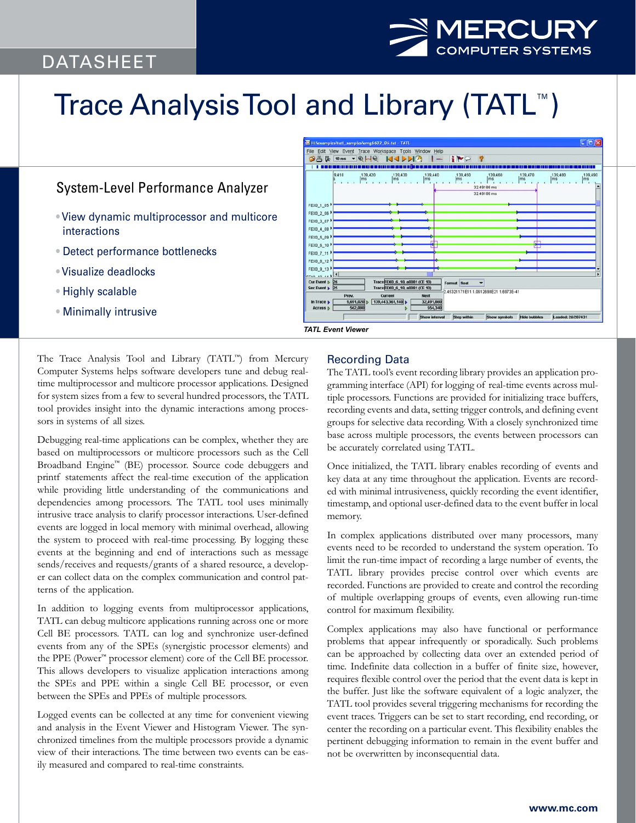# DATASHEET



# Trace Analysis Tool and Library (TATL™)

# System-Level Performance Analyzer

- View dynamic multiprocessor and multicore interactions
- Detect performance bottlenecks
- Visualize deadlocks
- Highly scalable
- Minimally intrusive

| 9,410                                           | 139,430<br>139,420<br>ms<br>ms                                 | 139,440<br>Ims | .139,450<br>ms | 139,460<br>ms<br>32.49186 m<br>32.49186 ms | 139,470<br>ms | ,139,480<br>ms | ,139,490<br>Ims |
|-------------------------------------------------|----------------------------------------------------------------|----------------|----------------|--------------------------------------------|---------------|----------------|-----------------|
| FEX0 1 05                                       |                                                                |                |                |                                            |               |                |                 |
| FEX0_2_06                                       |                                                                |                |                |                                            |               |                |                 |
| FEX0_3_07                                       |                                                                |                |                |                                            |               |                |                 |
| FEX0 4 08                                       |                                                                |                |                |                                            |               |                |                 |
| FEXO 5 09                                       |                                                                |                |                |                                            |               |                |                 |
| FEX0 6 10                                       |                                                                |                |                |                                            | пm            |                |                 |
| FEXD 7 11                                       |                                                                |                |                |                                            |               |                |                 |
| FEX0 8 12                                       |                                                                |                |                |                                            |               |                |                 |
| FEXD 9 13                                       |                                                                |                |                |                                            |               |                |                 |
| $remus + 1$<br>Cur Event p 26<br>Sec Event   25 | TraceFEX0_6_10, a0081 (CE 10)<br>TraceFEX0 6 10, a0081 (CE 10) |                | Format float   | ٠                                          |               |                | ٠               |
| Prev.                                           | Current                                                        | Next           |                | 245321171E11 1.0612698E21 1.6973E-41       |               |                |                 |
| In Trace $\uparrow$                             | 9,691,020<br>139,443,361,140                                   | 32,491,860     |                |                                            |               |                |                 |
|                                                 |                                                                |                |                |                                            |               |                |                 |

The Trace Analysis Tool and Library (TATL™) from Mercury Computer Systems helps software developers tune and debug realtime multiprocessor and multicore processor applications. Designed for system sizes from a few to several hundred processors, the TATL tool provides insight into the dynamic interactions among processors in systems of all sizes.

Debugging real-time applications can be complex, whether they are based on multiprocessors or multicore processors such as the Cell Broadband Engine™ (BE) processor. Source code debuggers and printf statements affect the real-time execution of the application while providing little understanding of the communications and dependencies among processors. The TATL tool uses minimally intrusive trace analysis to clarify processor interactions. User-defined events are logged in local memory with minimal overhead, allowing the system to proceed with real-time processing. By logging these events at the beginning and end of interactions such as message sends/receives and requests/grants of a shared resource, a developer can collect data on the complex communication and control patterns of the application.

In addition to logging events from multiprocessor applications, TATL can debug multicore applications running across one or more Cell BE processors. TATL can log and synchronize user-defined events from any of the SPEs (synergistic processor elements) and the PPE (Power™ processor element) core of the Cell BE processor. This allows developers to visualize application interactions among the SPEs and PPE within a single Cell BE processor, or even between the SPEs and PPEs of multiple processors.

Logged events can be collected at any time for convenient viewing and analysis in the Event Viewer and Histogram Viewer. The synchronized timelines from the multiple processors provide a dynamic view of their interactions. The time between two events can be easily measured and compared to real-time constraints.

## Recording Data

The TATL tool's event recording library provides an application programming interface (API) for logging of real-time events across multiple processors. Functions are provided for initializing trace buffers, recording events and data, setting trigger controls, and defining event groups for selective data recording. With a closely synchronized time base across multiple processors, the events between processors can be accurately correlated using TATL.

Once initialized, the TATL library enables recording of events and key data at any time throughout the application. Events are recorded with minimal intrusiveness, quickly recording the event identifier, timestamp, and optional user-defined data to the event buffer in local memory.

In complex applications distributed over many processors, many events need to be recorded to understand the system operation. To limit the run-time impact of recording a large number of events, the TATL library provides precise control over which events are recorded. Functions are provided to create and control the recording of multiple overlapping groups of events, even allowing run-time control for maximum flexibility.

Complex applications may also have functional or performance problems that appear infrequently or sporadically. Such problems can be approached by collecting data over an extended period of time. Indefinite data collection in a buffer of finite size, however, requires flexible control over the period that the event data is kept in the buffer. Just like the software equivalent of a logic analyzer, the TATL tool provides several triggering mechanisms for recording the event traces. Triggers can be set to start recording, end recording, or center the recording on a particular event. This flexibility enables the pertinent debugging information to remain in the event buffer and not be overwritten by inconsequential data.